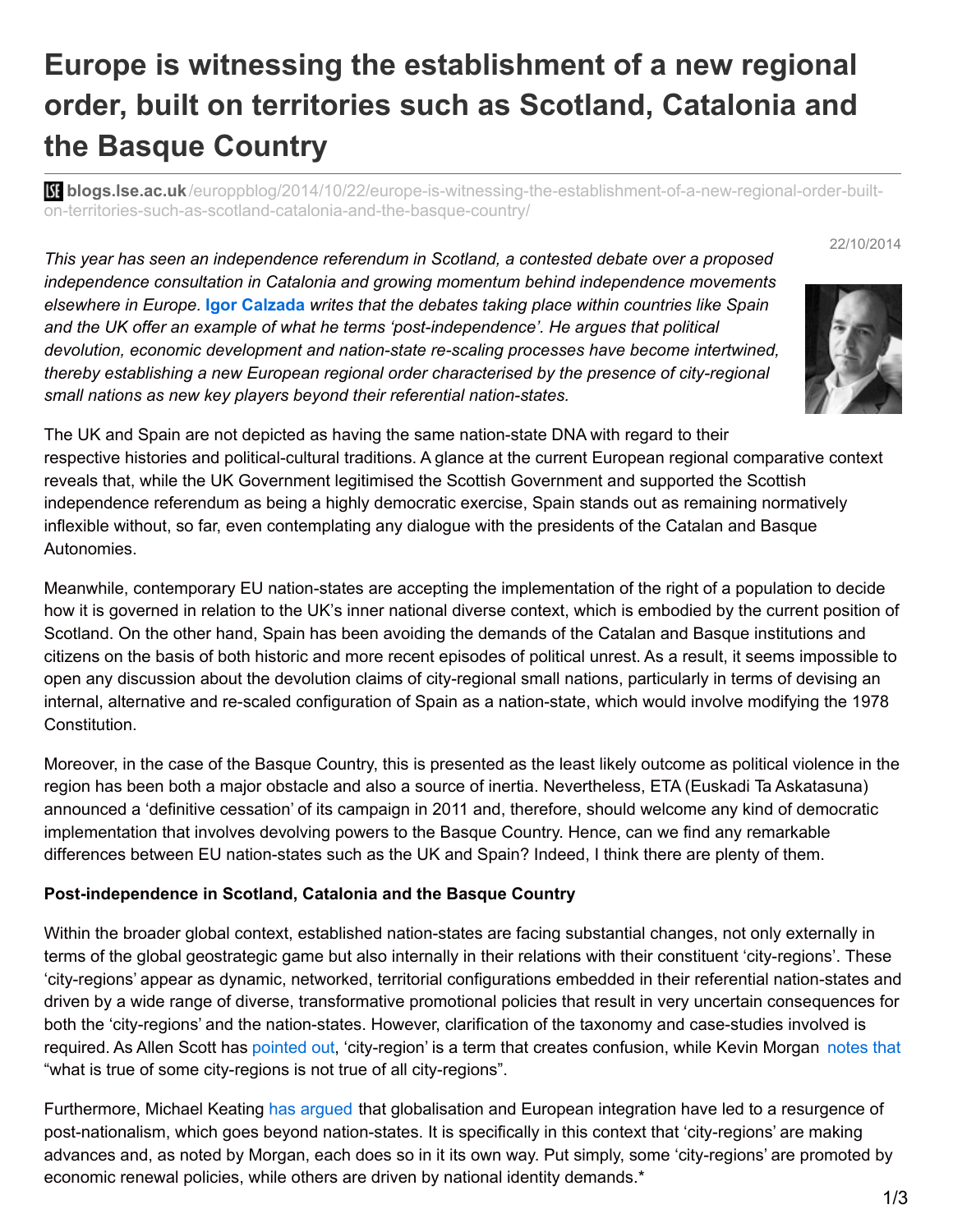# **Europe is witnessing the establishment of a new regional order, built on territories such as Scotland, Catalonia and the Basque Country**

**bli blogs.lse.ac.uk**[/europpblog/2014/10/22/europe-is-witnessing-the-establishment-of-a-new-regional-order-built](http://blogs.lse.ac.uk/europpblog/2014/10/22/europe-is-witnessing-the-establishment-of-a-new-regional-order-built-on-territories-such-as-scotland-catalonia-and-the-basque-country/)on-territories-such-as-scotland-catalonia-and-the-basque-country/

22/10/2014

*This year has seen an independence referendum in Scotland, a contested debate over a proposed independence consultation in Catalonia and growing momentum behind independence movements elsewhere in Europe.* **Igor Calzada** *writes that the debates taking place within countries like Spain and the UK offer an example of what he terms 'post-independence'. He argues that political devolution, economic development and nation-state re-scaling processes have become intertwined, thereby establishing a new European regional order characterised by the presence of city-regional small nations as new key players beyond their referential nation-states.*



The UK and Spain are not depicted as having the same nation-state DNA with regard to their respective histories and political-cultural traditions. A glance at the current European regional comparative context reveals that, while the UK Government legitimised the Scottish Government and supported the Scottish independence referendum as being a highly democratic exercise, Spain stands out as remaining normatively inflexible without, so far, even contemplating any dialogue with the presidents of the Catalan and Basque Autonomies.

Meanwhile, contemporary EU nation-states are accepting the implementation of the right of a population to decide how it is governed in relation to the UK's inner national diverse context, which is embodied by the current position of Scotland. On the other hand, Spain has been avoiding the demands of the Catalan and Basque institutions and citizens on the basis of both historic and more recent episodes of political unrest. As a result, it seems impossible to open any discussion about the devolution claims of city-regional small nations, particularly in terms of devising an internal, alternative and re-scaled configuration of Spain as a nation-state, which would involve modifying the 1978 Constitution.

Moreover, in the case of the Basque Country, this is presented as the least likely outcome as political violence in the region has been both a major obstacle and also a source of inertia. Nevertheless, ETA (Euskadi Ta Askatasuna) announced a 'definitive cessation' of its campaign in 2011 and, therefore, should welcome any kind of democratic implementation that involves devolving powers to the Basque Country. Hence, can we find any remarkable differences between EU nation-states such as the UK and Spain? Indeed, I think there are plenty of them.

## **Post-independence in Scotland, Catalonia and the Basque Country**

Within the broader global context, established nation-states are facing substantial changes, not only externally in terms of the global geostrategic game but also internally in their relations with their constituent 'city-regions'. These 'city-regions' appear as dynamic, networked, territorial configurations embedded in their referential nation-states and driven by a wide range of diverse, transformative promotional policies that result in very uncertain consequences for both the 'city-regions' and the nation-states. However, clarification of the taxonomy and case-studies involved is required. As Allen Scott has [pointed](http://books.google.co.uk/books/about/Global_City_Regions_Trends_Theory_Policy.html?id=mHE0b45cEEUC) out, 'city-region' is a term that creates confusion, while Kevin Morgan [notes](http://www.amazon.co.uk/gp/product/B00L5QHTVG/ref=as_li_qf_sp_asin_il_tl?ie=UTF8&camp=1634&creative=6738&creativeASIN=B00L5QHTVG&linkCode=as2&tag=lsreofbo-21&linkId=TSTHKFKSJTQSW4TB) that "what is true of some city-regions is not true of all city-regions".

Furthermore, Michael Keating has [argued](http://www.amazon.co.uk/gp/product/0333921526/ref=as_li_qf_sp_asin_il_tl?ie=UTF8&camp=1634&creative=6738&creativeASIN=0333921526&linkCode=as2&tag=lsreofbo-21&linkId=GYHAWTFJTZPIZNDY) that globalisation and European integration have led to a resurgence of post-nationalism, which goes beyond nation-states. It is specifically in this context that 'city-regions' are making advances and, as noted by Morgan, each does so in it its own way. Put simply, some 'city-regions' are promoted by economic renewal policies, while others are driven by national identity demands.\*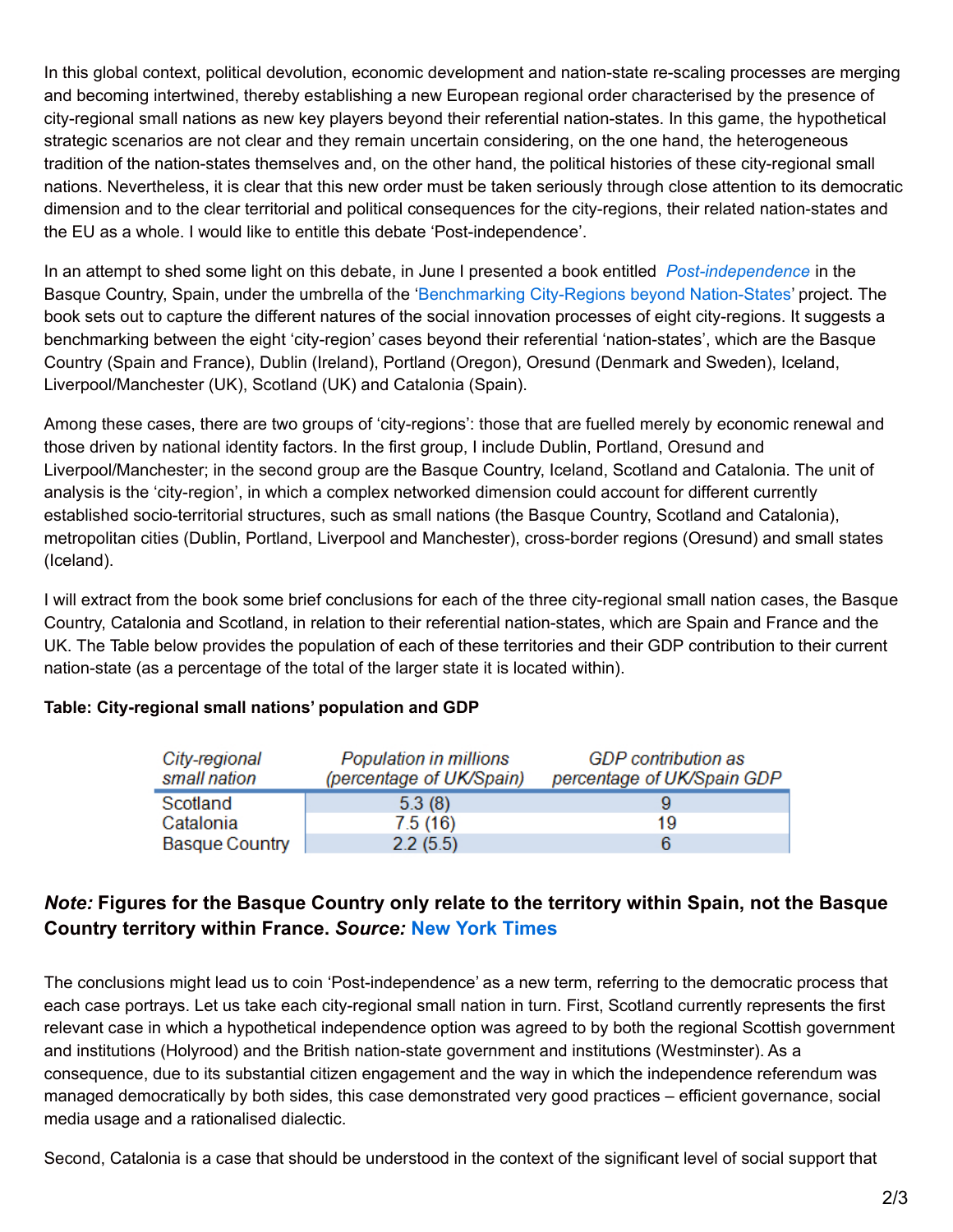In this global context, political devolution, economic development and nation-state re-scaling processes are merging and becoming intertwined, thereby establishing a new European regional order characterised by the presence of city-regional small nations as new key players beyond their referential nation-states. In this game, the hypothetical strategic scenarios are not clear and they remain uncertain considering, on the one hand, the heterogeneous tradition of the nation-states themselves and, on the other hand, the political histories of these city-regional small nations. Nevertheless, it is clear that this new order must be taken seriously through close attention to its democratic dimension and to the clear territorial and political consequences for the city-regions, their related nation-states and the EU as a whole. I would like to entitle this debate 'Post-independence'.

In an attempt to shed some light on this debate, in June I presented a book entitled *[Post-independence](http://www.postindependence.org/)* in the Basque Country, Spain, under the umbrella of the ['Benchmarking](http://cityregions.org/) City-Regions beyond Nation-States' project. The book sets out to capture the different natures of the social innovation processes of eight city-regions. It suggests a benchmarking between the eight 'city-region' cases beyond their referential 'nation-states', which are the Basque Country (Spain and France), Dublin (Ireland), Portland (Oregon), Oresund (Denmark and Sweden), Iceland, Liverpool/Manchester (UK), Scotland (UK) and Catalonia (Spain).

Among these cases, there are two groups of 'city-regions': those that are fuelled merely by economic renewal and those driven by national identity factors. In the first group, I include Dublin, Portland, Oresund and Liverpool/Manchester; in the second group are the Basque Country, Iceland, Scotland and Catalonia. The unit of analysis is the 'city-region', in which a complex networked dimension could account for different currently established socio-territorial structures, such as small nations (the Basque Country, Scotland and Catalonia), metropolitan cities (Dublin, Portland, Liverpool and Manchester), cross-border regions (Oresund) and small states (Iceland).

I will extract from the book some brief conclusions for each of the three city-regional small nation cases, the Basque Country, Catalonia and Scotland, in relation to their referential nation-states, which are Spain and France and the UK. The Table below provides the population of each of these territories and their GDP contribution to their current nation-state (as a percentage of the total of the larger state it is located within).

## **Table: City-regional small nations' population and GDP**

| City-regional<br>small nation | Population in millions<br>(percentage of UK/Spain) | GDP contribution as<br>percentage of UK/Spain GDP |
|-------------------------------|----------------------------------------------------|---------------------------------------------------|
| Scotland                      | 5.3(8)                                             | 9                                                 |
| Catalonia                     | 7.5(16)                                            | 19                                                |
| <b>Basque Country</b>         | 2.2(5.5)                                           | 6                                                 |

# *Note:* **Figures for the Basque Country only relate to the territory within Spain, not the Basque Country territory within France.** *Source:* **New York [Times](http://www.nytimes.com/2014/08/06/world/europe/catalan-vote-seen-as-test-for-separatists-in-europe.html?_r=1)**

The conclusions might lead us to coin 'Post-independence' as a new term, referring to the democratic process that each case portrays. Let us take each city-regional small nation in turn. First, Scotland currently represents the first relevant case in which a hypothetical independence option was agreed to by both the regional Scottish government and institutions (Holyrood) and the British nation-state government and institutions (Westminster). As a consequence, due to its substantial citizen engagement and the way in which the independence referendum was managed democratically by both sides, this case demonstrated very good practices – efficient governance, social media usage and a rationalised dialectic.

Second, Catalonia is a case that should be understood in the context of the significant level of social support that